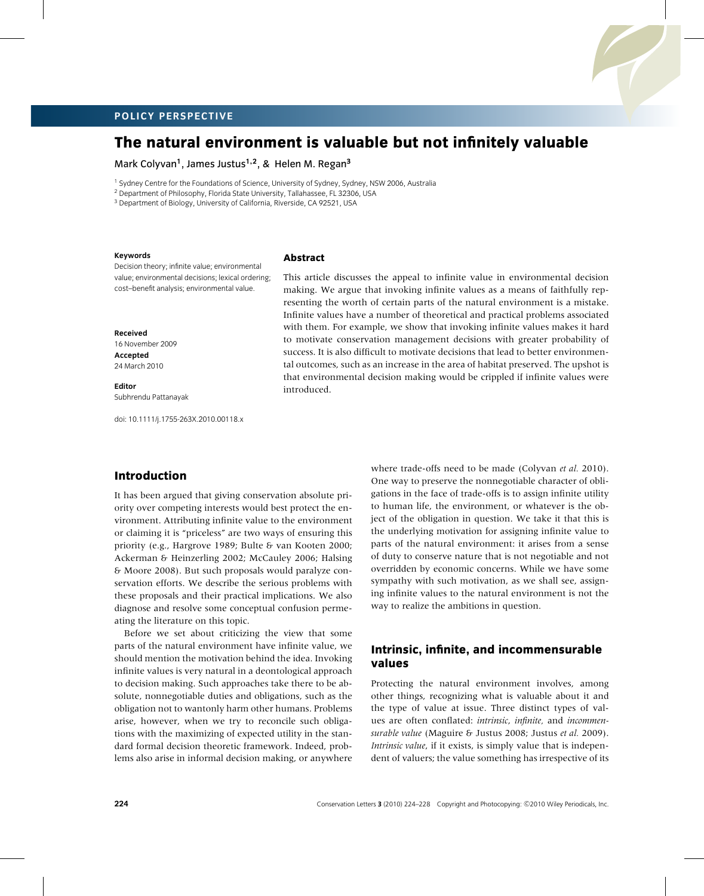# **POLICY PERSPECTIVE**

# **The natural environment is valuable but not infinitely valuable**

Mark Colyvan**<sup>1</sup>**, James Justus**<sup>1</sup>***,***<sup>2</sup>**, & Helen M. Regan**<sup>3</sup>**

<sup>1</sup> Sydney Centre for the Foundations of Science, University of Sydney, Sydney, NSW 2006, Australia

<sup>2</sup> Department of Philosophy, Florida State University, Tallahassee, FL 32306, USA

<sup>3</sup> Department of Biology, University of California, Riverside, CA 92521, USA

#### **Keywords**

#### **Abstract**

Decision theory; infinite value; environmental value; environmental decisions; lexical ordering; cost–benefit analysis; environmental value.

**Received** 16 November 2009 **Accepted** 24 March 2010

**Editor** Subhrendu Pattanayak

doi: 10.1111/j.1755-263X.2010.00118.x

This article discusses the appeal to infinite value in environmental decision making. We argue that invoking infinite values as a means of faithfully representing the worth of certain parts of the natural environment is a mistake. Infinite values have a number of theoretical and practical problems associated with them. For example, we show that invoking infinite values makes it hard to motivate conservation management decisions with greater probability of success. It is also difficult to motivate decisions that lead to better environmental outcomes, such as an increase in the area of habitat preserved. The upshot is that environmental decision making would be crippled if infinite values were introduced.

### **Introduction**

It has been argued that giving conservation absolute priority over competing interests would best protect the environment. Attributing infinite value to the environment or claiming it is "priceless" are two ways of ensuring this priority (e.g., Hargrove 1989; Bulte & van Kooten 2000; Ackerman & Heinzerling 2002; McCauley 2006; Halsing & Moore 2008). But such proposals would paralyze conservation efforts. We describe the serious problems with these proposals and their practical implications. We also diagnose and resolve some conceptual confusion permeating the literature on this topic.

Before we set about criticizing the view that some parts of the natural environment have infinite value, we should mention the motivation behind the idea. Invoking infinite values is very natural in a deontological approach to decision making. Such approaches take there to be absolute, nonnegotiable duties and obligations, such as the obligation not to wantonly harm other humans. Problems arise, however, when we try to reconcile such obligations with the maximizing of expected utility in the standard formal decision theoretic framework. Indeed, problems also arise in informal decision making, or anywhere

where trade-offs need to be made (Colyvan *et al.* 2010). One way to preserve the nonnegotiable character of obligations in the face of trade-offs is to assign infinite utility to human life, the environment, or whatever is the object of the obligation in question. We take it that this is the underlying motivation for assigning infinite value to parts of the natural environment: it arises from a sense of duty to conserve nature that is not negotiable and not overridden by economic concerns. While we have some sympathy with such motivation, as we shall see, assigning infinite values to the natural environment is not the way to realize the ambitions in question.

# **Intrinsic, infinite, and incommensurable values**

Protecting the natural environment involves, among other things, recognizing what is valuable about it and the type of value at issue. Three distinct types of values are often conflated: *intrinsic*, *infinite,* and *incommensurable value* (Maguire & Justus 2008; Justus *et al.* 2009). *Intrinsic value*, if it exists, is simply value that is independent of valuers; the value something has irrespective of its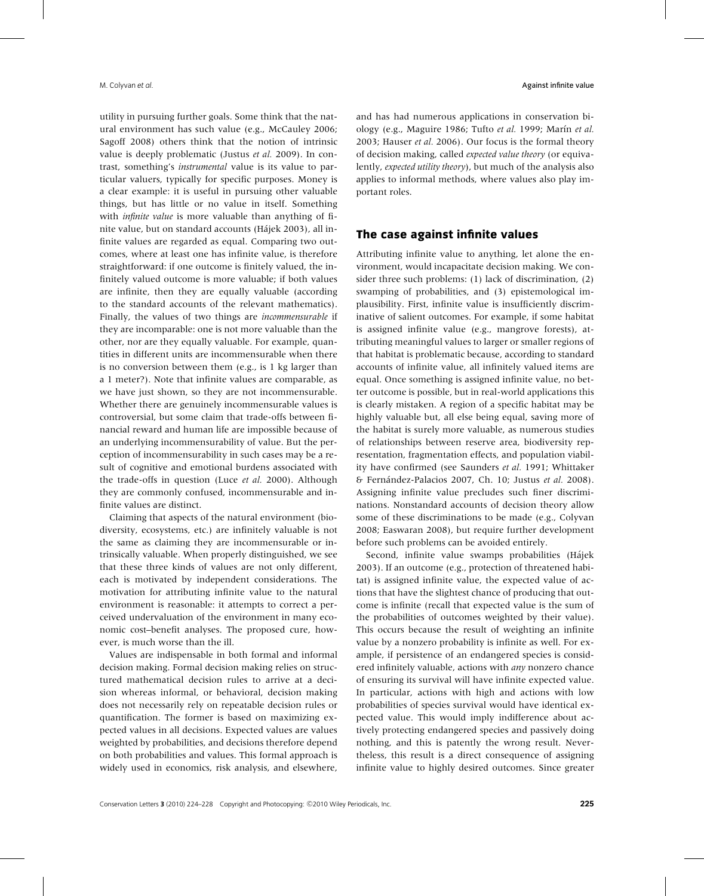utility in pursuing further goals. Some think that the natural environment has such value (e.g., McCauley 2006; Sagoff 2008) others think that the notion of intrinsic value is deeply problematic (Justus *et al.* 2009). In contrast, something's *instrumental* value is its value to particular valuers, typically for specific purposes. Money is a clear example: it is useful in pursuing other valuable things, but has little or no value in itself. Something with *infinite value* is more valuable than anything of finite value, but on standard accounts (Hájek 2003), all infinite values are regarded as equal. Comparing two outcomes, where at least one has infinite value, is therefore straightforward: if one outcome is finitely valued, the infinitely valued outcome is more valuable; if both values are infinite, then they are equally valuable (according to the standard accounts of the relevant mathematics). Finally, the values of two things are *incommensurable* if they are incomparable: one is not more valuable than the other, nor are they equally valuable. For example, quantities in different units are incommensurable when there is no conversion between them (e.g., is 1 kg larger than a 1 meter?). Note that infinite values are comparable, as we have just shown, so they are not incommensurable. Whether there are genuinely incommensurable values is controversial, but some claim that trade-offs between financial reward and human life are impossible because of an underlying incommensurability of value. But the perception of incommensurability in such cases may be a result of cognitive and emotional burdens associated with the trade-offs in question (Luce *et al.* 2000). Although they are commonly confused, incommensurable and infinite values are distinct.

Claiming that aspects of the natural environment (biodiversity, ecosystems, etc.) are infinitely valuable is not the same as claiming they are incommensurable or intrinsically valuable. When properly distinguished, we see that these three kinds of values are not only different, each is motivated by independent considerations. The motivation for attributing infinite value to the natural environment is reasonable: it attempts to correct a perceived undervaluation of the environment in many economic cost–benefit analyses. The proposed cure, however, is much worse than the ill.

Values are indispensable in both formal and informal decision making. Formal decision making relies on structured mathematical decision rules to arrive at a decision whereas informal, or behavioral, decision making does not necessarily rely on repeatable decision rules or quantification. The former is based on maximizing expected values in all decisions. Expected values are values weighted by probabilities, and decisions therefore depend on both probabilities and values. This formal approach is widely used in economics, risk analysis, and elsewhere,

and has had numerous applications in conservation biology (e.g., Maguire 1986; Tufto et al. 1999; Marín et al. 2003; Hauser *et al.* 2006). Our focus is the formal theory of decision making, called *expected value theory* (or equivalently, *expected utility theory*), but much of the analysis also applies to informal methods, where values also play important roles.

### **The case against infinite values**

Attributing infinite value to anything, let alone the environment, would incapacitate decision making. We consider three such problems: (1) lack of discrimination, (2) swamping of probabilities, and (3) epistemological implausibility. First, infinite value is insufficiently discriminative of salient outcomes. For example, if some habitat is assigned infinite value (e.g., mangrove forests), attributing meaningful values to larger or smaller regions of that habitat is problematic because, according to standard accounts of infinite value, all infinitely valued items are equal. Once something is assigned infinite value, no better outcome is possible, but in real-world applications this is clearly mistaken. A region of a specific habitat may be highly valuable but, all else being equal, saving more of the habitat is surely more valuable, as numerous studies of relationships between reserve area, biodiversity representation, fragmentation effects, and population viability have confirmed (see Saunders *et al.* 1991; Whittaker & Fernandez-Palacios 2007, Ch. 10; Justus ´ *et al.* 2008). Assigning infinite value precludes such finer discriminations. Nonstandard accounts of decision theory allow some of these discriminations to be made (e.g., Colyvan 2008; Easwaran 2008), but require further development before such problems can be avoided entirely.

Second, infinite value swamps probabilities (Hájek 2003). If an outcome (e.g., protection of threatened habitat) is assigned infinite value, the expected value of actions that have the slightest chance of producing that outcome is infinite (recall that expected value is the sum of the probabilities of outcomes weighted by their value). This occurs because the result of weighting an infinite value by a nonzero probability is infinite as well. For example, if persistence of an endangered species is considered infinitely valuable, actions with *any* nonzero chance of ensuring its survival will have infinite expected value. In particular, actions with high and actions with low probabilities of species survival would have identical expected value. This would imply indifference about actively protecting endangered species and passively doing nothing, and this is patently the wrong result. Nevertheless, this result is a direct consequence of assigning infinite value to highly desired outcomes. Since greater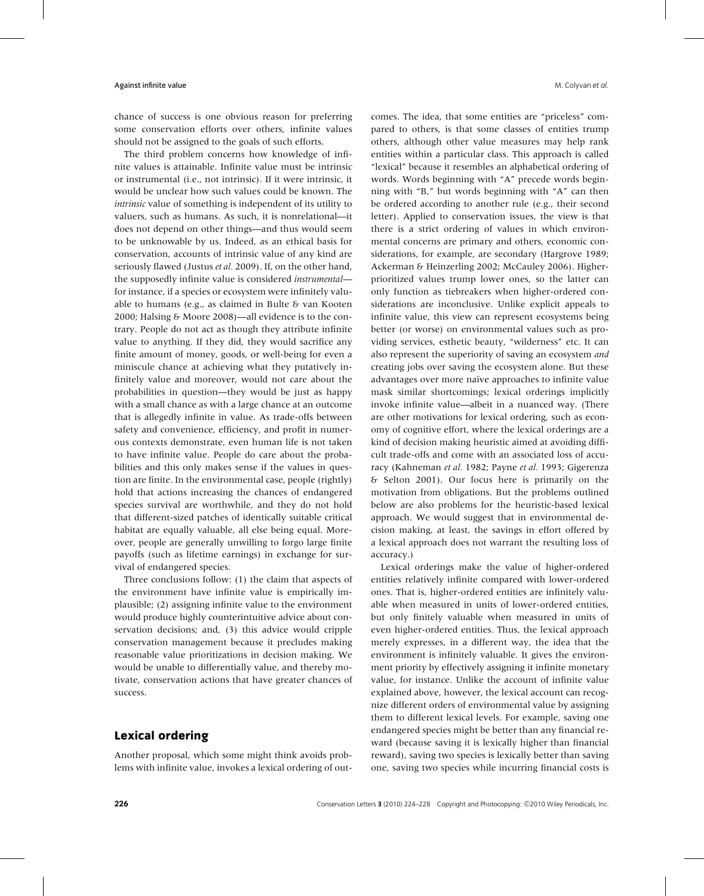chance of success is one obvious reason for preferring some conservation efforts over others, infinite values should not be assigned to the goals of such efforts.

The third problem concerns how knowledge of infinite values is attainable. Infinite value must be intrinsic or instrumental (i.e., not intrinsic). If it were intrinsic, it would be unclear how such values could be known. The *intrinsic* value of something is independent of its utility to valuers, such as humans. As such, it is nonrelational—it does not depend on other things—and thus would seem to be unknowable by us. Indeed, as an ethical basis for conservation, accounts of intrinsic value of any kind are seriously flawed (Justus *et al.* 2009). If, on the other hand, the supposedly infinite value is considered *instrumental* for instance, if a species or ecosystem were infinitely valuable to humans (e.g., as claimed in Bulte  $\delta$  van Kooten 2000; Halsing & Moore 2008)—all evidence is to the contrary. People do not act as though they attribute infinite value to anything. If they did, they would sacrifice any finite amount of money, goods, or well-being for even a miniscule chance at achieving what they putatively infinitely value and moreover, would not care about the probabilities in question—they would be just as happy with a small chance as with a large chance at an outcome that is allegedly infinite in value. As trade-offs between safety and convenience, efficiency, and profit in numerous contexts demonstrate, even human life is not taken to have infinite value. People do care about the probabilities and this only makes sense if the values in question are finite. In the environmental case, people (rightly) hold that actions increasing the chances of endangered species survival are worthwhile, and they do not hold that different-sized patches of identically suitable critical habitat are equally valuable, all else being equal. Moreover, people are generally unwilling to forgo large finite payoffs (such as lifetime earnings) in exchange for survival of endangered species.

Three conclusions follow: (1) the claim that aspects of the environment have infinite value is empirically implausible; (2) assigning infinite value to the environment would produce highly counterintuitive advice about conservation decisions; and, (3) this advice would cripple conservation management because it precludes making reasonable value prioritizations in decision making. We would be unable to differentially value, and thereby motivate, conservation actions that have greater chances of success.

## **Lexical ordering**

Another proposal, which some might think avoids problems with infinite value, invokes a lexical ordering of out-

comes. The idea, that some entities are "priceless" compared to others, is that some classes of entities trump others, although other value measures may help rank entities within a particular class. This approach is called "lexical" because it resembles an alphabetical ordering of words. Words beginning with "A" precede words beginning with "B," but words beginning with "A" can then be ordered according to another rule (e.g., their second letter). Applied to conservation issues, the view is that there is a strict ordering of values in which environmental concerns are primary and others, economic considerations, for example, are secondary (Hargrove 1989; Ackerman & Heinzerling 2002; McCauley 2006). Higherprioritized values trump lower ones, so the latter can only function as tiebreakers when higher-ordered considerations are inconclusive. Unlike explicit appeals to infinite value, this view can represent ecosystems being better (or worse) on environmental values such as providing services, esthetic beauty, "wilderness" etc. It can also represent the superiority of saving an ecosystem *and* creating jobs over saving the ecosystem alone. But these advantages over more naïve approaches to infinite value mask similar shortcomings; lexical orderings implicitly invoke infinite value—albeit in a nuanced way. (There are other motivations for lexical ordering, such as economy of cognitive effort, where the lexical orderings are a kind of decision making heuristic aimed at avoiding difficult trade-offs and come with an associated loss of accuracy (Kahneman *et al.* 1982; Payne *et al.* 1993; Gigerenza & Selton 2001). Our focus here is primarily on the motivation from obligations. But the problems outlined below are also problems for the heuristic-based lexical approach. We would suggest that in environmental decision making, at least, the savings in effort offered by a lexical approach does not warrant the resulting loss of accuracy.)

Lexical orderings make the value of higher-ordered entities relatively infinite compared with lower-ordered ones. That is, higher-ordered entities are infinitely valuable when measured in units of lower-ordered entities, but only finitely valuable when measured in units of even higher-ordered entities. Thus, the lexical approach merely expresses, in a different way, the idea that the environment is infinitely valuable. It gives the environment priority by effectively assigning it infinite monetary value, for instance. Unlike the account of infinite value explained above, however, the lexical account can recognize different orders of environmental value by assigning them to different lexical levels. For example, saving one endangered species might be better than any financial reward (because saving it is lexically higher than financial reward), saving two species is lexically better than saving one, saving two species while incurring financial costs is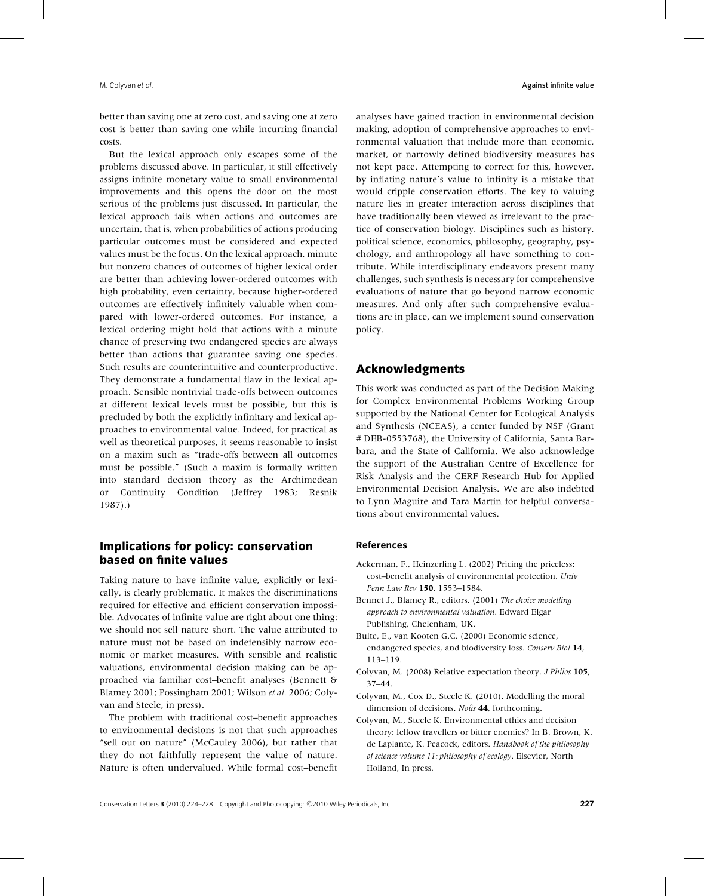better than saving one at zero cost, and saving one at zero cost is better than saving one while incurring financial costs.

But the lexical approach only escapes some of the problems discussed above. In particular, it still effectively assigns infinite monetary value to small environmental improvements and this opens the door on the most serious of the problems just discussed. In particular, the lexical approach fails when actions and outcomes are uncertain, that is, when probabilities of actions producing particular outcomes must be considered and expected values must be the focus. On the lexical approach, minute but nonzero chances of outcomes of higher lexical order are better than achieving lower-ordered outcomes with high probability, even certainty, because higher-ordered outcomes are effectively infinitely valuable when compared with lower-ordered outcomes. For instance, a lexical ordering might hold that actions with a minute chance of preserving two endangered species are always better than actions that guarantee saving one species. Such results are counterintuitive and counterproductive. They demonstrate a fundamental flaw in the lexical approach. Sensible nontrivial trade-offs between outcomes at different lexical levels must be possible, but this is precluded by both the explicitly infinitary and lexical approaches to environmental value. Indeed, for practical as well as theoretical purposes, it seems reasonable to insist on a maxim such as "trade-offs between all outcomes must be possible." (Such a maxim is formally written into standard decision theory as the Archimedean or Continuity Condition (Jeffrey 1983; Resnik 1987).)

# **Implications for policy: conservation based on finite values**

Taking nature to have infinite value, explicitly or lexically, is clearly problematic. It makes the discriminations required for effective and efficient conservation impossible. Advocates of infinite value are right about one thing: we should not sell nature short. The value attributed to nature must not be based on indefensibly narrow economic or market measures. With sensible and realistic valuations, environmental decision making can be approached via familiar cost–benefit analyses (Bennett & Blamey 2001; Possingham 2001; Wilson *et al.* 2006; Colyvan and Steele, in press).

The problem with traditional cost–benefit approaches to environmental decisions is not that such approaches "sell out on nature" (McCauley 2006), but rather that they do not faithfully represent the value of nature. Nature is often undervalued. While formal cost–benefit analyses have gained traction in environmental decision making, adoption of comprehensive approaches to environmental valuation that include more than economic, market, or narrowly defined biodiversity measures has not kept pace. Attempting to correct for this, however, by inflating nature's value to infinity is a mistake that would cripple conservation efforts. The key to valuing nature lies in greater interaction across disciplines that have traditionally been viewed as irrelevant to the practice of conservation biology. Disciplines such as history, political science, economics, philosophy, geography, psychology, and anthropology all have something to contribute. While interdisciplinary endeavors present many challenges, such synthesis is necessary for comprehensive evaluations of nature that go beyond narrow economic measures. And only after such comprehensive evaluations are in place, can we implement sound conservation policy.

# **Acknowledgments**

This work was conducted as part of the Decision Making for Complex Environmental Problems Working Group supported by the National Center for Ecological Analysis and Synthesis (NCEAS), a center funded by NSF (Grant # DEB-0553768), the University of California, Santa Barbara, and the State of California. We also acknowledge the support of the Australian Centre of Excellence for Risk Analysis and the CERF Research Hub for Applied Environmental Decision Analysis. We are also indebted to Lynn Maguire and Tara Martin for helpful conversations about environmental values.

#### **References**

- Ackerman, F., Heinzerling L. (2002) Pricing the priceless: cost–benefit analysis of environmental protection. *Univ Penn Law Rev* **150**, 1553–1584.
- Bennet J., Blamey R., editors. (2001) *The choice modelling approach to environmental valuation*. Edward Elgar Publishing, Chelenham, UK.
- Bulte, E., van Kooten G.C. (2000) Economic science, endangered species, and biodiversity loss. *Conserv Biol* **14**, 113–119.
- Colyvan, M. (2008) Relative expectation theory. *J Philos* **105**, 37–44.
- Colyvan, M., Cox D., Steele K. (2010). Modelling the moral dimension of decisions. *Noûs* 44, forthcoming.
- Colyvan, M., Steele K. Environmental ethics and decision theory: fellow travellers or bitter enemies? In B. Brown, K. de Laplante, K. Peacock, editors. *Handbook of the philosophy of science volume 11: philosophy of ecology*. Elsevier, North Holland, In press.